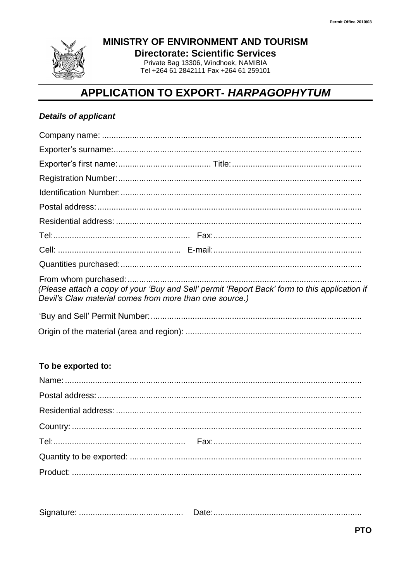

MINISTRY OF ENVIRONMENT AND TOURISM

**Directorate: Scientific Services** Private Bag 13306, Windhoek, NAMIBIA

Tel +264 61 2842111 Fax +264 61 259101

# APPLICATION TO EXPORT- HARPAGOPHYTUM

## **Details of applicant**

| (Please attach a copy of your 'Buy and Sell' permit 'Report Back' form to this application if<br>Devil's Claw material comes from more than one source.) |
|----------------------------------------------------------------------------------------------------------------------------------------------------------|
|                                                                                                                                                          |

#### To be exported to: